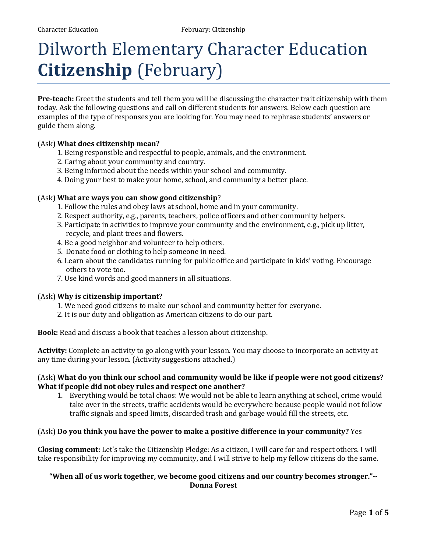# Dilworth Elementary Character Education **Citizenship** (February)

**Pre-teach:** Greet the students and tell them you will be discussing the character trait citizenship with them today. Ask the following questions and call on different students for answers. Below each question are examples of the type of responses you are looking for. You may need to rephrase students' answers or guide them along.

#### (Ask) **What does citizenship mean?**

- 1. Being responsible and respectful to people, animals, and the environment.
- 2. Caring about your community and country.
- 3. Being informed about the needs within your school and community.
- 4. Doing your best to make your home, school, and community a better place.

#### (Ask) **What are ways you can show good citizenship**?

- 1. Follow the rules and obey laws at school, home and in your community.
- 2. Respect authority, e.g., parents, teachers, police officers and other community helpers.
- 3. Participate in activities to improve your community and the environment, e.g., pick up litter, recycle, and plant trees and flowers.
- 4. Be a good neighbor and volunteer to help others.
- 5. Donate food or clothing to help someone in need.
- 6. Learn about the candidates running for public office and participate in kids' voting. Encourage others to vote too.
- 7. Use kind words and good manners in all situations.

#### (Ask) **Why is citizenship important?**

- 1. We need good citizens to make our school and community better for everyone.
- 2. It is our duty and obligation as American citizens to do our part.

**Book:** Read and discuss a book that teaches a lesson about citizenship.

**Activity:** Complete an activity to go along with your lesson. You may choose to incorporate an activity at any time during your lesson. (Activity suggestions attached.)

#### (Ask) **What do you think our school and community would be like if people were not good citizens? What if people did not obey rules and respect one another?**

1. Everything would be total chaos: We would not be able to learn anything at school, crime would take over in the streets, traffic accidents would be everywhere because people would not follow traffic signals and speed limits, discarded trash and garbage would fill the streets, etc.

#### (Ask) **Do you think you have the power to make a positive difference in your community?** Yes

**Closing comment:** Let's take the Citizenship Pledge: As a citizen, I will care for and respect others. I will take responsibility for improving my community, and I will strive to help my fellow citizens do the same.

#### **"When all of us work together, we become good citizens and our country becomes stronger."~ Donna Forest**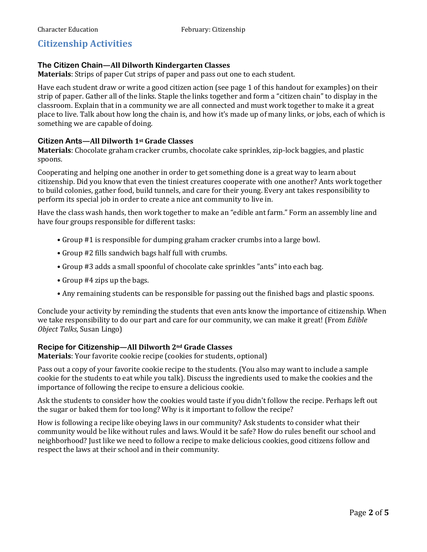# **Citizenship Activities**

# **The Citizen Chain—All Dilworth Kindergarten Classes**

**Materials**: Strips of paper Cut strips of paper and pass out one to each student.

Have each student draw or write a good citizen action (see page 1 of this handout for examples) on their strip of paper. Gather all of the links. Staple the links together and form a "citizen chain" to display in the classroom. Explain that in a community we are all connected and must work together to make it a great place to live. Talk about how long the chain is, and how it's made up of many links, or jobs, each of which is something we are capable of doing.

# **Citizen Ants—All Dilworth 1st Grade Classes**

**Materials**: Chocolate graham cracker crumbs, chocolate cake sprinkles, zip-lock baggies, and plastic spoons.

Cooperating and helping one another in order to get something done is a great way to learn about citizenship. Did you know that even the tiniest creatures cooperate with one another? Ants work together to build colonies, gather food, build tunnels, and care for their young. Every ant takes responsibility to perform its special job in order to create a nice ant community to live in.

Have the class wash hands, then work together to make an "edible ant farm." Form an assembly line and have four groups responsible for different tasks:

- Group #1 is responsible for dumping graham cracker crumbs into a large bowl.
- Group #2 fills sandwich bags half full with crumbs.
- Group #3 adds a small spoonful of chocolate cake sprinkles "ants" into each bag.
- Group #4 zips up the bags.
- Any remaining students can be responsible for passing out the finished bags and plastic spoons.

Conclude your activity by reminding the students that even ants know the importance of citizenship. When we take responsibility to do our part and care for our community, we can make it great! (From *Edible Object Talks*, Susan Lingo)

# **Recipe for Citizenship—All Dilworth 2nd Grade Classes**

**Materials**: Your favorite cookie recipe (cookies for students, optional)

Pass out a copy of your favorite cookie recipe to the students. (You also may want to include a sample cookie for the students to eat while you talk). Discuss the ingredients used to make the cookies and the importance of following the recipe to ensure a delicious cookie.

Ask the students to consider how the cookies would taste if you didn't follow the recipe. Perhaps left out the sugar or baked them for too long? Why is it important to follow the recipe?

How is following a recipe like obeying laws in our community? Ask students to consider what their community would be like without rules and laws. Would it be safe? How do rules benefit our school and neighborhood? Just like we need to follow a recipe to make delicious cookies, good citizens follow and respect the laws at their school and in their community.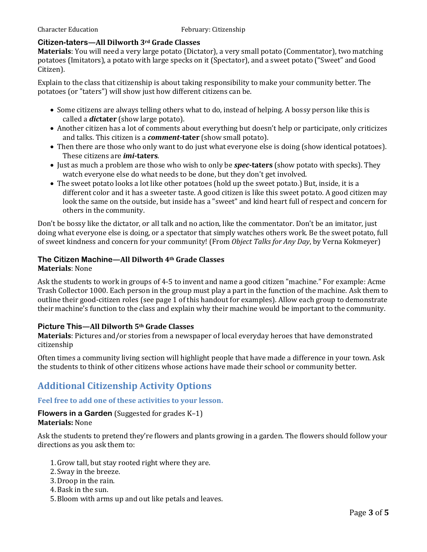## **Citizen-taters—All Dilworth 3rd Grade Classes**

**Materials**: You will need a very large potato (Dictator), a very small potato (Commentator), two matching potatoes (Imitators), a potato with large specks on it (Spectator), and a sweet potato ("Sweet" and Good Citizen).

Explain to the class that citizenship is about taking responsibility to make your community better. The potatoes (or "taters") will show just how different citizens can be.

- Some citizens are always telling others what to do, instead of helping. A bossy person like this is called a *dic***tater** (show large potato).
- Another citizen has a lot of comments about everything but doesn't help or participate, only criticizes and talks. This citizen is a *comment***-tater** (show small potato).
- Then there are those who only want to do just what everyone else is doing (show identical potatoes). These citizens are *imi***-taters**.
- Just as much a problem are those who wish to only be *spec***-taters** (show potato with specks). They watch everyone else do what needs to be done, but they don't get involved.
- The sweet potato looks a lot like other potatoes (hold up the sweet potato.) But, inside, it is a different color and it has a sweeter taste. A good citizen is like this sweet potato. A good citizen may look the same on the outside, but inside has a "sweet" and kind heart full of respect and concern for others in the community.

Don't be bossy like the dictator, or all talk and no action, like the commentator. Don't be an imitator, just doing what everyone else is doing, or a spectator that simply watches others work. Be the sweet potato, full of sweet kindness and concern for your community! (From *Object Talks for Any Day*, by Verna Kokmeyer)

## **The Citizen Machine—All Dilworth 4th Grade Classes**

## **Materials**: None

Ask the students to work in groups of 4-5 to invent and name a good citizen "machine." For example: Acme Trash Collector 1000. Each person in the group must play a part in the function of the machine. Ask them to outline their good-citizen roles (see page 1 of this handout for examples). Allow each group to demonstrate their machine's function to the class and explain why their machine would be important to the community.

## **Picture This—All Dilworth 5th Grade Classes**

**Materials**: Pictures and/or stories from a newspaper of local everyday heroes that have demonstrated citizenship

Often times a community living section will highlight people that have made a difference in your town. Ask the students to think of other citizens whose actions have made their school or community better.

# **Additional Citizenship Activity Options**

## **Feel free to add one of these activities to your lesson.**

#### **Flowers in a Garden** (Suggested for grades K–1) **Materials:** None

Ask the students to pretend they're flowers and plants growing in a garden. The flowers should follow your directions as you ask them to:

- 1.Grow tall, but stay rooted right where they are.
- 2. Sway in the breeze.
- 3.Droop in the rain.
- 4.Bask in the sun.
- 5.Bloom with arms up and out like petals and leaves.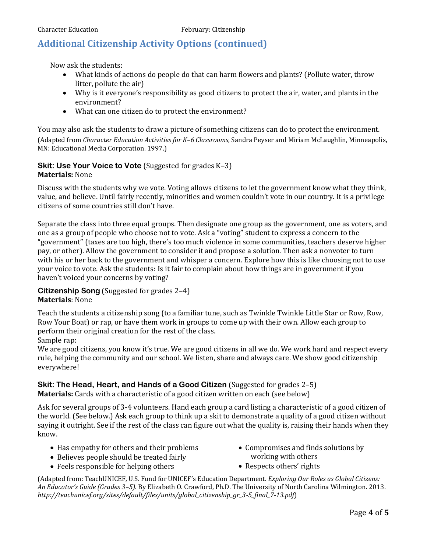# **Additional Citizenship Activity Options (continued)**

Now ask the students:

- What kinds of actions do people do that can harm flowers and plants? (Pollute water, throw litter, pollute the air)
- Why is it everyone's responsibility as good citizens to protect the air, water, and plants in the environment?
- What can one citizen do to protect the environment?

You may also ask the students to draw a picture of something citizens can do to protect the environment. (Adapted from *Character Education Activities for K–6 Classrooms*, Sandra Peyser and Miriam McLaughlin, Minneapolis, MN: Educational Media Corporation. 1997.)

#### **Skit: Use Your Voice to Vote** (Suggested for grades K–3) **Materials:** None

Discuss with the students why we vote. Voting allows citizens to let the government know what they think, value, and believe. Until fairly recently, minorities and women couldn't vote in our country. It is a privilege citizens of some countries still don't have.

Separate the class into three equal groups. Then designate one group as the government, one as voters, and one as a group of people who choose not to vote. Ask a "voting" student to express a concern to the "government" (taxes are too high, there's too much violence in some communities, teachers deserve higher pay, or other). Allow the government to consider it and propose a solution. Then ask a nonvoter to turn with his or her back to the government and whisper a concern. Explore how this is like choosing not to use your voice to vote. Ask the students: Is it fair to complain about how things are in government if you haven't voiced your concerns by voting?

**Citizenship Song** (Suggested for grades 2–4) **Materials**: None

Teach the students a citizenship song (to a familiar tune, such as Twinkle Twinkle Little Star or Row, Row, Row Your Boat) or rap, or have them work in groups to come up with their own. Allow each group to perform their original creation for the rest of the class. Sample rap:

We are good citizens, you know it's true. We are good citizens in all we do. We work hard and respect every rule, helping the community and our school. We listen, share and always care. We show good citizenship everywhere!

# **Skit: The Head, Heart, and Hands of a Good Citizen** (Suggested for grades 2–5)

**Materials:** Cards with a characteristic of a good citizen written on each (see below)

Ask for several groups of 3-4 volunteers. Hand each group a card listing a characteristic of a good citizen of the world. (See below.) Ask each group to think up a skit to demonstrate a quality of a good citizen without saying it outright. See if the rest of the class can figure out what the quality is, raising their hands when they know.

- Has empathy for others and their problems
- Believes people should be treated fairly
- Feels responsible for helping others
- Compromises and finds solutions by working with others
- Respects others' rights

(Adapted from: TeachUNICEF, U.S. Fund for UNICEF's Education Department. *Exploring Our Roles as Global Citizens: An Educator's Guide (Grades 3–5)*. By Elizabeth O. Crawford, Ph.D. The University of North Carolina Wilmington. 2013. *http://teachunicef.org/sites/default/files/units/global\_citizenship\_gr\_3-5\_final\_7-13.pdf*)